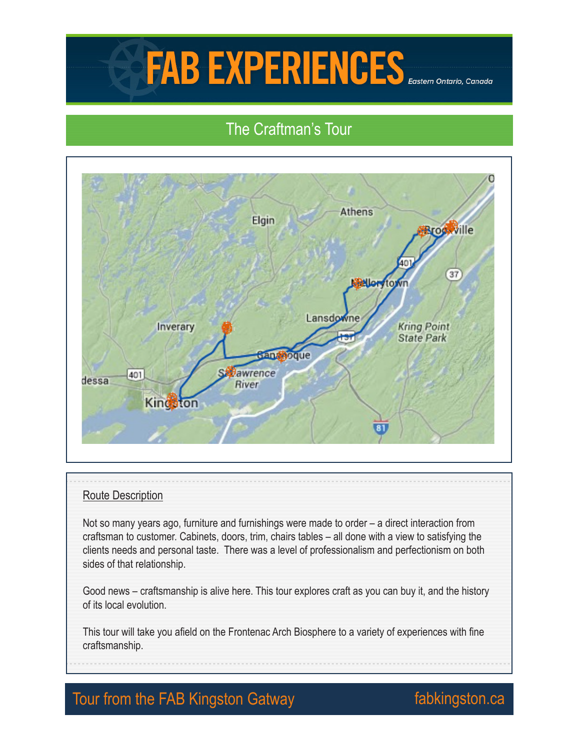# FAB EXPERIENCES

## The Craftman's Tour



#### Route Description

Not so many years ago, furniture and furnishings were made to order – a direct interaction from craftsman to customer. Cabinets, doors, trim, chairs tables – all done with a view to satisfying the clients needs and personal taste. There was a level of professionalism and perfectionism on both sides of that relationship.

Good news – craftsmanship is alive here. This tour explores craft as you can buy it, and the history of its local evolution.

This tour will take you afield on the Frontenac Arch Biosphere to a variety of experiences with fine craftsmanship.

## Tour from the FAB Kingston Gatway **Fabkingston.ca**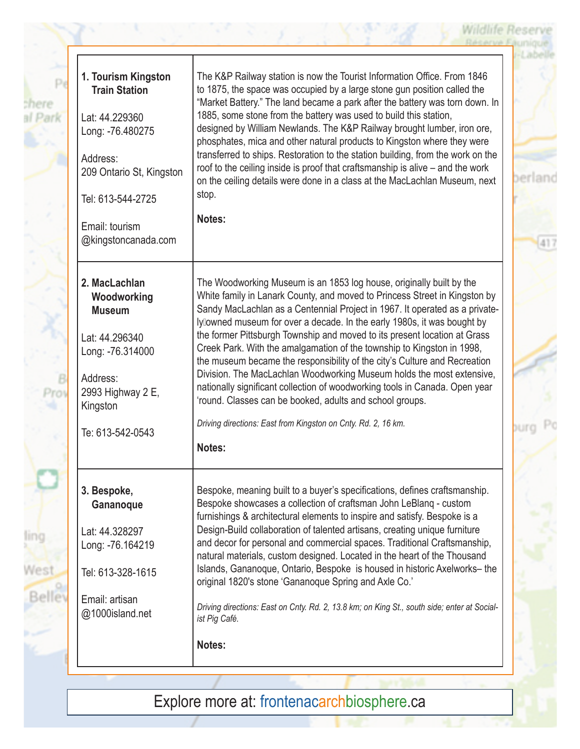| 1. Tourism Kingston<br><b>Train Station</b> | The K&P Railway station is now the Tourist Information Office. From 1846<br>to 1875, the space was occupied by a large stone gun position called the<br>"Market Battery." The land became a park after the battery was torn down. In |
|---------------------------------------------|--------------------------------------------------------------------------------------------------------------------------------------------------------------------------------------------------------------------------------------|
| Lat: 44.229360                              | 1885, some stone from the battery was used to build this station,                                                                                                                                                                    |
| Long: -76.480275                            | designed by William Newlands. The K&P Railway brought lumber, iron ore,<br>phosphates, mica and other natural products to Kingston where they were                                                                                   |
| Address:                                    | transferred to ships. Restoration to the station building, from the work on the                                                                                                                                                      |
| 209 Ontario St, Kingston                    | roof to the ceiling inside is proof that craftsmanship is alive – and the work<br>on the ceiling details were done in a class at the MacLachlan Museum, next                                                                         |
| Tel: 613-544-2725                           | stop.                                                                                                                                                                                                                                |
| Email: tourism                              | Notes:                                                                                                                                                                                                                               |
| @kingstoncanada.com                         |                                                                                                                                                                                                                                      |
| 2. MacLachlan                               | The Woodworking Museum is an 1853 log house, originally built by the                                                                                                                                                                 |
| Woodworking                                 | White family in Lanark County, and moved to Princess Street in Kingston by                                                                                                                                                           |
| <b>Museum</b>                               | Sandy MacLachlan as a Centennial Project in 1967. It operated as a private-                                                                                                                                                          |
|                                             | lyllowned museum for over a decade. In the early 1980s, it was bought by<br>the former Pittsburgh Township and moved to its present location at Grass                                                                                |
| Lat: 44.296340<br>Long: -76.314000          | Creek Park. With the amalgamation of the township to Kingston in 1998,                                                                                                                                                               |
|                                             | the museum became the responsibility of the city's Culture and Recreation                                                                                                                                                            |
| Address:                                    | Division. The MacLachlan Woodworking Museum holds the most extensive,<br>nationally significant collection of woodworking tools in Canada. Open year                                                                                 |
| 2993 Highway 2 E,<br>Kingston               | 'round. Classes can be booked, adults and school groups.                                                                                                                                                                             |
| Te: 613-542-0543                            | Driving directions: East from Kingston on Cnty. Rd. 2, 16 km.                                                                                                                                                                        |
|                                             | Notes:                                                                                                                                                                                                                               |
|                                             | Bespoke, meaning built to a buyer's specifications, defines craftsmanship.                                                                                                                                                           |
| 3. Bespoke,<br>Gananoque                    | Bespoke showcases a collection of craftsman John LeBlang - custom<br>furnishings & architectural elements to inspire and satisfy. Bespoke is a                                                                                       |
| Lat: 44.328297                              | Design-Build collaboration of talented artisans, creating unique furniture                                                                                                                                                           |
| Long: -76.164219                            | and decor for personal and commercial spaces. Traditional Craftsmanship,                                                                                                                                                             |
|                                             | natural materials, custom designed. Located in the heart of the Thousand<br>Islands, Gananoque, Ontario, Bespoke is housed in historic Axelworks-the                                                                                 |
| Tel: 613-328-1615                           | original 1820's stone 'Gananoque Spring and Axle Co.'                                                                                                                                                                                |
| Email: artisan                              | Driving directions: East on Cnty. Rd. 2, 13.8 km; on King St., south side; enter at Social-                                                                                                                                          |
| @1000island.net                             | ist Pig Café.                                                                                                                                                                                                                        |
|                                             | Notes:                                                                                                                                                                                                                               |

**Wildlife Reserve** 

Explore more at: frontenacarchbiosphere.ca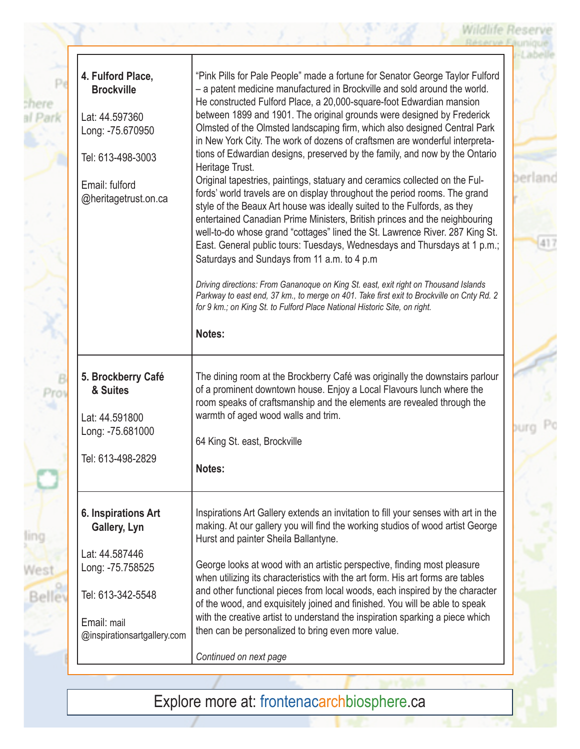| 4. Fulford Place,<br><b>Brockville</b>     | "Pink Pills for Pale People" made a fortune for Senator George Taylor Fulford<br>- a patent medicine manufactured in Brockville and sold around the world.<br>He constructed Fulford Place, a 20,000-square-foot Edwardian mansion<br>between 1899 and 1901. The original grounds were designed by Frederick                                                                                                                                                                                                                    |
|--------------------------------------------|---------------------------------------------------------------------------------------------------------------------------------------------------------------------------------------------------------------------------------------------------------------------------------------------------------------------------------------------------------------------------------------------------------------------------------------------------------------------------------------------------------------------------------|
| Lat: 44.597360<br>Long: -75.670950         | Olmsted of the Olmsted landscaping firm, which also designed Central Park<br>in New York City. The work of dozens of craftsmen are wonderful interpreta-<br>tions of Edwardian designs, preserved by the family, and now by the Ontario                                                                                                                                                                                                                                                                                         |
| Tel: 613-498-3003                          | Heritage Trust.                                                                                                                                                                                                                                                                                                                                                                                                                                                                                                                 |
| Email: fulford<br>@heritagetrust.on.ca     | Original tapestries, paintings, statuary and ceramics collected on the Ful-<br>fords' world travels are on display throughout the period rooms. The grand<br>style of the Beaux Art house was ideally suited to the Fulfords, as they<br>entertained Canadian Prime Ministers, British princes and the neighbouring<br>well-to-do whose grand "cottages" lined the St. Lawrence River. 287 King St.<br>East. General public tours: Tuesdays, Wednesdays and Thursdays at 1 p.m.;<br>Saturdays and Sundays from 11 a.m. to 4 p.m |
|                                            | Driving directions: From Gananoque on King St. east, exit right on Thousand Islands<br>Parkway to east end, 37 km., to merge on 401. Take first exit to Brockville on Cnty Rd. 2<br>for 9 km.; on King St. to Fulford Place National Historic Site, on right.                                                                                                                                                                                                                                                                   |
|                                            | Notes:                                                                                                                                                                                                                                                                                                                                                                                                                                                                                                                          |
| 5. Brockberry Café<br>& Suites             | The dining room at the Brockberry Café was originally the downstairs parlour<br>of a prominent downtown house. Enjoy a Local Flavours lunch where the<br>room speaks of craftsmanship and the elements are revealed through the                                                                                                                                                                                                                                                                                                 |
| Lat: 44.591800                             | warmth of aged wood walls and trim.                                                                                                                                                                                                                                                                                                                                                                                                                                                                                             |
| Long: -75.681000                           | 64 King St. east, Brockville                                                                                                                                                                                                                                                                                                                                                                                                                                                                                                    |
| Tel: 613-498-2829                          | Notes:                                                                                                                                                                                                                                                                                                                                                                                                                                                                                                                          |
| 6. Inspirations Art<br>Gallery, Lyn        | Inspirations Art Gallery extends an invitation to fill your senses with art in the<br>making. At our gallery you will find the working studios of wood artist George<br>Hurst and painter Sheila Ballantyne.                                                                                                                                                                                                                                                                                                                    |
| Lat: 44.587446<br>Long: -75.758525         | George looks at wood with an artistic perspective, finding most pleasure<br>when utilizing its characteristics with the art form. His art forms are tables                                                                                                                                                                                                                                                                                                                                                                      |
| Tel: 613-342-5548                          | and other functional pieces from local woods, each inspired by the character<br>of the wood, and exquisitely joined and finished. You will be able to speak                                                                                                                                                                                                                                                                                                                                                                     |
| Email: mail<br>@inspirationsartgallery.com | with the creative artist to understand the inspiration sparking a piece which<br>then can be personalized to bring even more value.                                                                                                                                                                                                                                                                                                                                                                                             |

Explore more at: frontenacarchbiosphere.ca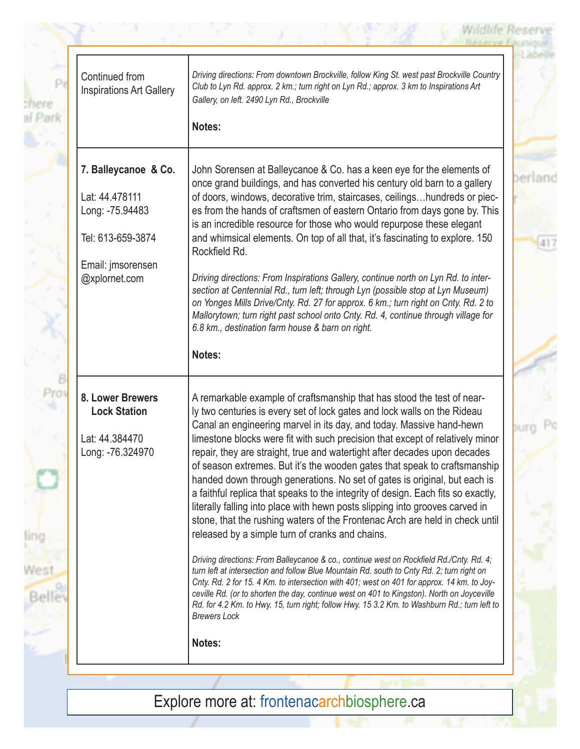**Wildlife Reserve** 

| shere | Continued from<br><b>Inspirations Art Gallery</b> | Driving directions: From downtown Brockville, follow King St. west past Brockville Country<br>Club to Lyn Rd. approx. 2 km.; turn right on Lyn Rd.; approx. 3 km to Inspirations Art<br>Gallery, on left. 2490 Lyn Rd., Brockville                                                                                                                                                                                                                                                                                                                                                                                          |             |
|-------|---------------------------------------------------|-----------------------------------------------------------------------------------------------------------------------------------------------------------------------------------------------------------------------------------------------------------------------------------------------------------------------------------------------------------------------------------------------------------------------------------------------------------------------------------------------------------------------------------------------------------------------------------------------------------------------------|-------------|
|       |                                                   | Notes:                                                                                                                                                                                                                                                                                                                                                                                                                                                                                                                                                                                                                      |             |
|       | 7. Balleycanoe & Co.<br>Lat: 44.478111            | John Sorensen at Balleycanoe & Co. has a keen eye for the elements of<br>once grand buildings, and has converted his century old barn to a gallery<br>of doors, windows, decorative trim, staircases, ceilingshundreds or piec-                                                                                                                                                                                                                                                                                                                                                                                             |             |
|       | Long: -75.94483<br>Tel: 613-659-3874              | es from the hands of craftsmen of eastern Ontario from days gone by. This<br>is an incredible resource for those who would repurpose these elegant<br>and whimsical elements. On top of all that, it's fascinating to explore. 150<br>Rockfield Rd.                                                                                                                                                                                                                                                                                                                                                                         |             |
|       | Email: jmsorensen<br>@xplornet.com                | Driving directions: From Inspirations Gallery, continue north on Lyn Rd. to inter-<br>section at Centennial Rd., turn left; through Lyn (possible stop at Lyn Museum)<br>on Yonges Mills Drive/Cnty. Rd. 27 for approx. 6 km.; turn right on Cnty. Rd. 2 to<br>Mallorytown; turn right past school onto Cnty. Rd. 4, continue through village for<br>6.8 km., destination farm house & barn on right.                                                                                                                                                                                                                       |             |
|       |                                                   | Notes:                                                                                                                                                                                                                                                                                                                                                                                                                                                                                                                                                                                                                      |             |
| Pro   | 8. Lower Brewers<br><b>Lock Station</b>           | A remarkable example of craftsmanship that has stood the test of near-<br>ly two centuries is every set of lock gates and lock walls on the Rideau<br>Canal an engineering marvel in its day, and today. Massive hand-hewn                                                                                                                                                                                                                                                                                                                                                                                                  | <b>DUTO</b> |
|       | Lat: 44.384470<br>Long: -76.324970                | limestone blocks were fit with such precision that except of relatively minor<br>repair, they are straight, true and watertight after decades upon decades<br>of season extremes. But it's the wooden gates that speak to craftsmanship<br>handed down through generations. No set of gates is original, but each is<br>a faithful replica that speaks to the integrity of design. Each fits so exactly,<br>literally falling into place with hewn posts slipping into grooves carved in<br>stone, that the rushing waters of the Frontenac Arch are held in check until<br>released by a simple turn of cranks and chains. |             |
| Belle |                                                   | Driving directions: From Balleycanoe & co., continue west on Rockfield Rd./Cnty. Rd. 4;<br>turn left at intersection and follow Blue Mountain Rd. south to Cnty Rd. 2; turn right on<br>Cnty. Rd. 2 for 15. 4 Km. to intersection with 401; west on 401 for approx. 14 km. to Joy-<br>ceville Rd. (or to shorten the day, continue west on 401 to Kingston). North on Joyceville<br>Rd. for 4.2 Km. to Hwy. 15, turn right; follow Hwy. 15 3.2 Km. to Washburn Rd.; turn left to<br><b>Brewers Lock</b>                                                                                                                     |             |
|       |                                                   | Notes:                                                                                                                                                                                                                                                                                                                                                                                                                                                                                                                                                                                                                      |             |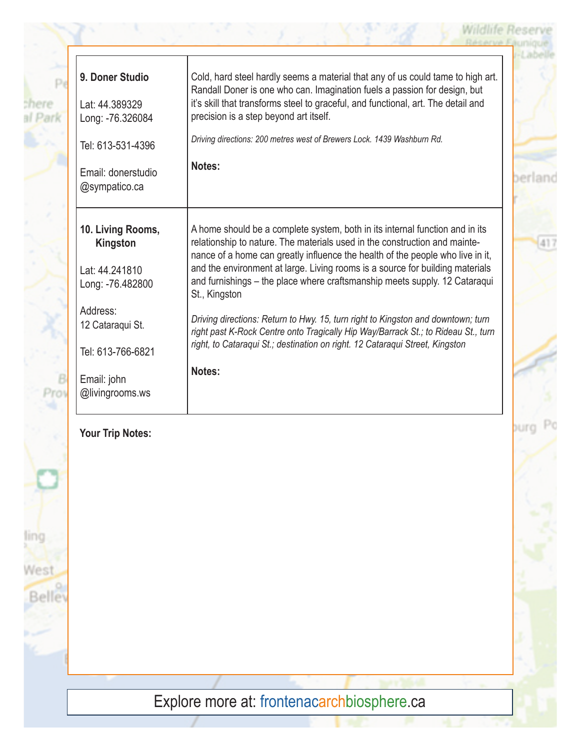| 9. Doner Studio<br>Lat: 44.389329<br>Long: -76.326084               | Cold, hard steel hardly seems a material that any of us could tame to high art.<br>Randall Doner is one who can. Imagination fuels a passion for design, but<br>it's skill that transforms steel to graceful, and functional, art. The detail and<br>precision is a step beyond art itself.                                                                                                                                  |     |
|---------------------------------------------------------------------|------------------------------------------------------------------------------------------------------------------------------------------------------------------------------------------------------------------------------------------------------------------------------------------------------------------------------------------------------------------------------------------------------------------------------|-----|
| Tel: 613-531-4396                                                   | Driving directions: 200 metres west of Brewers Lock. 1439 Washburn Rd.                                                                                                                                                                                                                                                                                                                                                       |     |
| Email: donerstudio<br>@sympatico.ca                                 | Notes:                                                                                                                                                                                                                                                                                                                                                                                                                       |     |
| 10. Living Rooms,<br>Kingston<br>Lat: 44.241810<br>Long: -76.482800 | A home should be a complete system, both in its internal function and in its<br>relationship to nature. The materials used in the construction and mainte-<br>nance of a home can greatly influence the health of the people who live in it,<br>and the environment at large. Living rooms is a source for building materials<br>and furnishings - the place where craftsmanship meets supply. 12 Cataraqui<br>St., Kingston | 417 |
| Address:<br>12 Cataraqui St.<br>Tel: 613-766-6821                   | Driving directions: Return to Hwy. 15, turn right to Kingston and downtown; turn<br>right past K-Rock Centre onto Tragically Hip Way/Barrack St.; to Rideau St., turn<br>right, to Cataraqui St.; destination on right. 12 Cataraqui Street, Kingston                                                                                                                                                                        |     |
| Email: john<br>@livingrooms.ws                                      | Notes:                                                                                                                                                                                                                                                                                                                                                                                                                       |     |

**Wildlife Reser** 

burg

### **Your Trip Notes:**

 $P$ 

В Prov

ling

West

Belle

chere al Park

Explore more at: frontenacarchbiosphere.ca